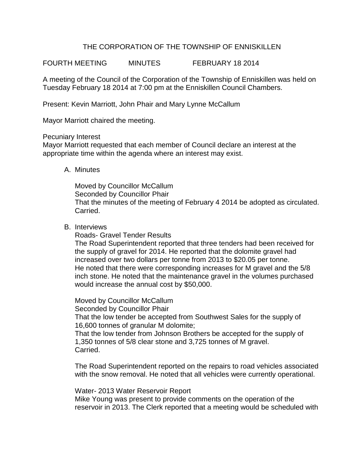# THE CORPORATION OF THE TOWNSHIP OF ENNISKILLEN

FOURTH MEETING MINUTES FEBRUARY 18 2014

A meeting of the Council of the Corporation of the Township of Enniskillen was held on Tuesday February 18 2014 at 7:00 pm at the Enniskillen Council Chambers.

Present: Kevin Marriott, John Phair and Mary Lynne McCallum

Mayor Marriott chaired the meeting.

### Pecuniary Interest

Mayor Marriott requested that each member of Council declare an interest at the appropriate time within the agenda where an interest may exist.

### A. Minutes

Moved by Councillor McCallum Seconded by Councillor Phair That the minutes of the meeting of February 4 2014 be adopted as circulated. Carried.

### B. Interviews

Roads- Gravel Tender Results

The Road Superintendent reported that three tenders had been received for the supply of gravel for 2014. He reported that the dolomite gravel had increased over two dollars per tonne from 2013 to \$20.05 per tonne. He noted that there were corresponding increases for M gravel and the 5/8 inch stone. He noted that the maintenance gravel in the volumes purchased would increase the annual cost by \$50,000.

Moved by Councillor McCallum Seconded by Councillor Phair That the low tender be accepted from Southwest Sales for the supply of 16,600 tonnes of granular M dolomite; That the low tender from Johnson Brothers be accepted for the supply of 1,350 tonnes of 5/8 clear stone and 3,725 tonnes of M gravel. Carried.

The Road Superintendent reported on the repairs to road vehicles associated with the snow removal. He noted that all vehicles were currently operational.

Water- 2013 Water Reservoir Report

Mike Young was present to provide comments on the operation of the reservoir in 2013. The Clerk reported that a meeting would be scheduled with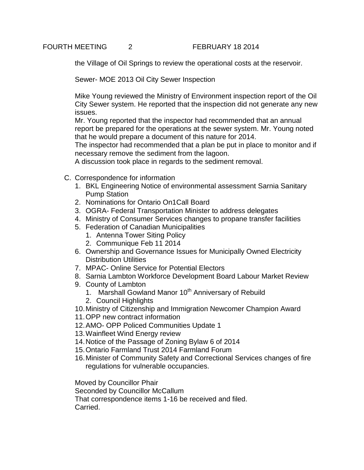the Village of Oil Springs to review the operational costs at the reservoir.

Sewer- MOE 2013 Oil City Sewer Inspection

Mike Young reviewed the Ministry of Environment inspection report of the Oil City Sewer system. He reported that the inspection did not generate any new issues.

Mr. Young reported that the inspector had recommended that an annual report be prepared for the operations at the sewer system. Mr. Young noted that he would prepare a document of this nature for 2014.

The inspector had recommended that a plan be put in place to monitor and if necessary remove the sediment from the lagoon.

A discussion took place in regards to the sediment removal.

- C. Correspondence for information
	- 1. BKL Engineering Notice of environmental assessment Sarnia Sanitary Pump Station
	- 2. Nominations for Ontario On1Call Board
	- 3. OGRA- Federal Transportation Minister to address delegates
	- 4. Ministry of Consumer Services changes to propane transfer facilities
	- 5. Federation of Canadian Municipalities
		- 1. Antenna Tower Siting Policy
		- 2. Communique Feb 11 2014
	- 6. Ownership and Governance Issues for Municipally Owned Electricity Distribution Utilities
	- 7. MPAC- Online Service for Potential Electors
	- 8. Sarnia Lambton Workforce Development Board Labour Market Review
	- 9. County of Lambton
		- 1. Marshall Gowland Manor 10<sup>th</sup> Anniversary of Rebuild
		- 2. Council Highlights
	- 10.Ministry of Citizenship and Immigration Newcomer Champion Award
	- 11.OPP new contract information
	- 12.AMO- OPP Policed Communities Update 1
	- 13.Wainfleet Wind Energy review
	- 14.Notice of the Passage of Zoning Bylaw 6 of 2014
	- 15.Ontario Farmland Trust 2014 Farmland Forum
	- 16.Minister of Community Safety and Correctional Services changes of fire regulations for vulnerable occupancies.

Moved by Councillor Phair

Seconded by Councillor McCallum

That correspondence items 1-16 be received and filed. Carried.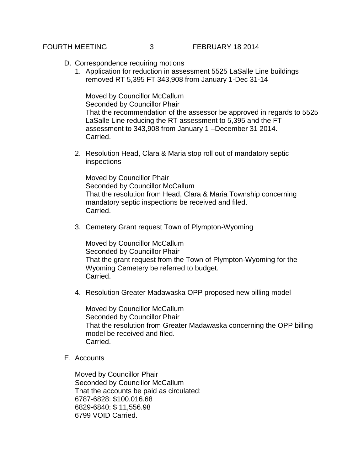- D. Correspondence requiring motions
	- 1. Application for reduction in assessment 5525 LaSalle Line buildings removed RT 5,395 FT 343,908 from January 1-Dec 31-14

Moved by Councillor McCallum Seconded by Councillor Phair That the recommendation of the assessor be approved in regards to 5525 LaSalle Line reducing the RT assessment to 5,395 and the FT assessment to 343,908 from January 1 –December 31 2014. Carried.

2. Resolution Head, Clara & Maria stop roll out of mandatory septic inspections

Moved by Councillor Phair Seconded by Councillor McCallum That the resolution from Head, Clara & Maria Township concerning mandatory septic inspections be received and filed. Carried.

3. Cemetery Grant request Town of Plympton-Wyoming

Moved by Councillor McCallum Seconded by Councillor Phair That the grant request from the Town of Plympton-Wyoming for the Wyoming Cemetery be referred to budget. Carried.

4. Resolution Greater Madawaska OPP proposed new billing model

Moved by Councillor McCallum Seconded by Councillor Phair That the resolution from Greater Madawaska concerning the OPP billing model be received and filed. Carried.

E. Accounts

Moved by Councillor Phair Seconded by Councillor McCallum That the accounts be paid as circulated: 6787-6828: \$100,016.68 6829-6840: \$ 11,556.98 6799 VOID Carried.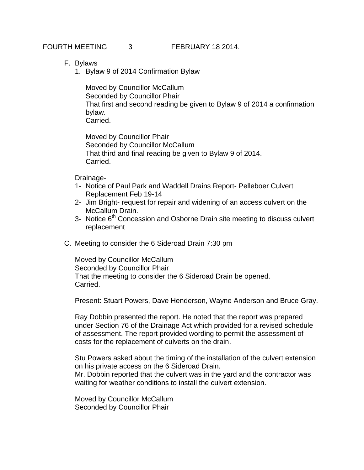FOURTH MEETING 3 FEBRUARY 18 2014.

- F. Bylaws
	- 1. Bylaw 9 of 2014 Confirmation Bylaw

Moved by Councillor McCallum Seconded by Councillor Phair That first and second reading be given to Bylaw 9 of 2014 a confirmation bylaw. Carried.

Moved by Councillor Phair Seconded by Councillor McCallum That third and final reading be given to Bylaw 9 of 2014. Carried.

Drainage-

- 1- Notice of Paul Park and Waddell Drains Report- Pelleboer Culvert Replacement Feb 19-14
- 2- Jim Bright- request for repair and widening of an access culvert on the McCallum Drain.
- 3- Notice 6<sup>th</sup> Concession and Osborne Drain site meeting to discuss culvert replacement
- C. Meeting to consider the 6 Sideroad Drain 7:30 pm

Moved by Councillor McCallum Seconded by Councillor Phair That the meeting to consider the 6 Sideroad Drain be opened. Carried.

Present: Stuart Powers, Dave Henderson, Wayne Anderson and Bruce Gray.

Ray Dobbin presented the report. He noted that the report was prepared under Section 76 of the Drainage Act which provided for a revised schedule of assessment. The report provided wording to permit the assessment of costs for the replacement of culverts on the drain.

Stu Powers asked about the timing of the installation of the culvert extension on his private access on the 6 Sideroad Drain. Mr. Dobbin reported that the culvert was in the yard and the contractor was waiting for weather conditions to install the culvert extension.

Moved by Councillor McCallum Seconded by Councillor Phair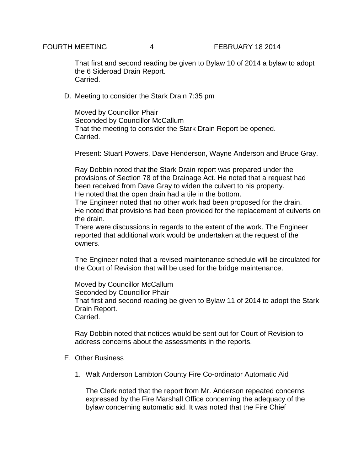That first and second reading be given to Bylaw 10 of 2014 a bylaw to adopt the 6 Sideroad Drain Report. Carried.

D. Meeting to consider the Stark Drain 7:35 pm

Moved by Councillor Phair Seconded by Councillor McCallum That the meeting to consider the Stark Drain Report be opened. Carried.

Present: Stuart Powers, Dave Henderson, Wayne Anderson and Bruce Gray.

Ray Dobbin noted that the Stark Drain report was prepared under the provisions of Section 78 of the Drainage Act. He noted that a request had been received from Dave Gray to widen the culvert to his property. He noted that the open drain had a tile in the bottom.

The Engineer noted that no other work had been proposed for the drain. He noted that provisions had been provided for the replacement of culverts on the drain.

There were discussions in regards to the extent of the work. The Engineer reported that additional work would be undertaken at the request of the owners.

The Engineer noted that a revised maintenance schedule will be circulated for the Court of Revision that will be used for the bridge maintenance.

Moved by Councillor McCallum Seconded by Councillor Phair That first and second reading be given to Bylaw 11 of 2014 to adopt the Stark Drain Report. Carried.

Ray Dobbin noted that notices would be sent out for Court of Revision to address concerns about the assessments in the reports.

- E. Other Business
	- 1. Walt Anderson Lambton County Fire Co-ordinator Automatic Aid

The Clerk noted that the report from Mr. Anderson repeated concerns expressed by the Fire Marshall Office concerning the adequacy of the bylaw concerning automatic aid. It was noted that the Fire Chief